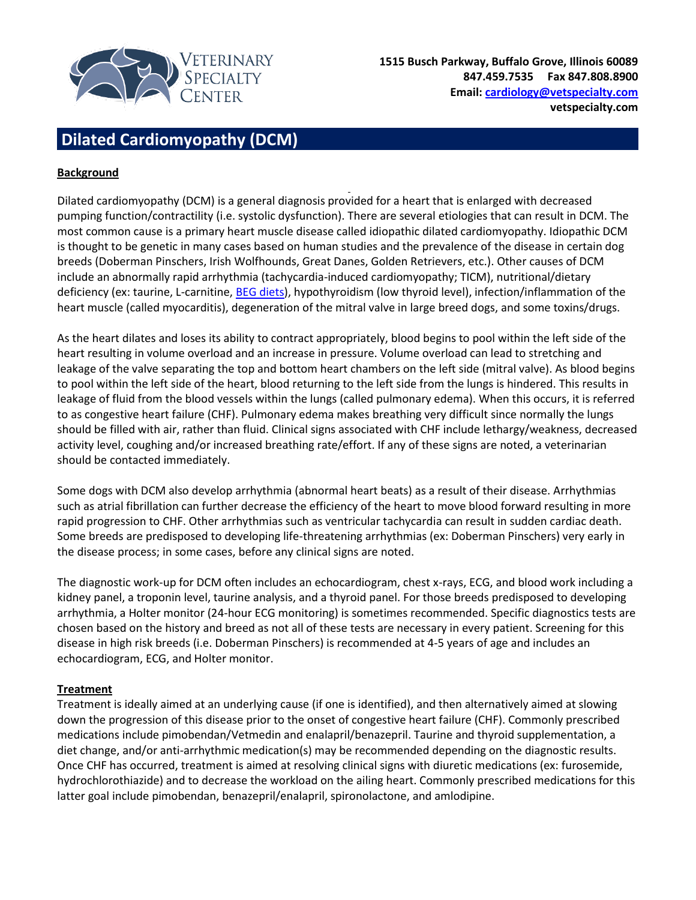

## **Dilated Cardiomyopathy (DCM)**

## **Background**

Dilated cardiomyopathy (DCM) is a general diagnosis provided for a heart that is enlarged with decreased pumping function/contractility (i.e. systolic dysfunction). There are several etiologies that can result in DCM. The most common cause is a primary heart muscle disease called idiopathic dilated cardiomyopathy. Idiopathic DCM is thought to be genetic in many cases based on human studies and the prevalence of the disease in certain dog breeds (Doberman Pinschers, Irish Wolfhounds, Great Danes, Golden Retrievers, etc.). Other causes of DCM include an abnormally rapid arrhythmia (tachycardia-induced cardiomyopathy; TICM), nutritional/dietary deficiency (ex: taurine, L-carnitine, **BEG diets)**, hypothyroidism (low thyroid level), infection/inflammation of the heart muscle (called myocarditis), degeneration of the mitral valve in large breed dogs, and some toxins/drugs.

As the heart dilates and loses its ability to contract appropriately, blood begins to pool within the left side of the heart resulting in volume overload and an increase in pressure. Volume overload can lead to stretching and leakage of the valve separating the top and bottom heart chambers on the left side (mitral valve). As blood begins to pool within the left side of the heart, blood returning to the left side from the lungs is hindered. This results in leakage of fluid from the blood vessels within the lungs (called pulmonary edema). When this occurs, it is referred to as congestive heart failure (CHF). Pulmonary edema makes breathing very difficult since normally the lungs should be filled with air, rather than fluid. Clinical signs associated with CHF include lethargy/weakness, decreased activity level, coughing and/or increased breathing rate/effort. If any of these signs are noted, a veterinarian should be contacted immediately.

Some dogs with DCM also develop arrhythmia (abnormal heart beats) as a result of their disease. Arrhythmias such as atrial fibrillation can further decrease the efficiency of the heart to move blood forward resulting in more rapid progression to CHF. Other arrhythmias such as ventricular tachycardia can result in sudden cardiac death. Some breeds are predisposed to developing life-threatening arrhythmias (ex: Doberman Pinschers) very early in the disease process; in some cases, before any clinical signs are noted.

The diagnostic work-up for DCM often includes an echocardiogram, chest x-rays, ECG, and blood work including a kidney panel, a troponin level, taurine analysis, and a thyroid panel. For those breeds predisposed to developing arrhythmia, a Holter monitor (24-hour ECG monitoring) is sometimes recommended. Specific diagnostics tests are chosen based on the history and breed as not all of these tests are necessary in every patient. Screening for this disease in high risk breeds (i.e. Doberman Pinschers) is recommended at 4-5 years of age and includes an echocardiogram, ECG, and Holter monitor.

## **Treatment**

Treatment is ideally aimed at an underlying cause (if one is identified), and then alternatively aimed at slowing down the progression of this disease prior to the onset of congestive heart failure (CHF). Commonly prescribed medications include pimobendan/Vetmedin and enalapril/benazepril. Taurine and thyroid supplementation, a diet change, and/or anti-arrhythmic medication(s) may be recommended depending on the diagnostic results. Once CHF has occurred, treatment is aimed at resolving clinical signs with diuretic medications (ex: furosemide, hydrochlorothiazide) and to decrease the workload on the ailing heart. Commonly prescribed medications for this latter goal include pimobendan, benazepril/enalapril, spironolactone, and amlodipine.